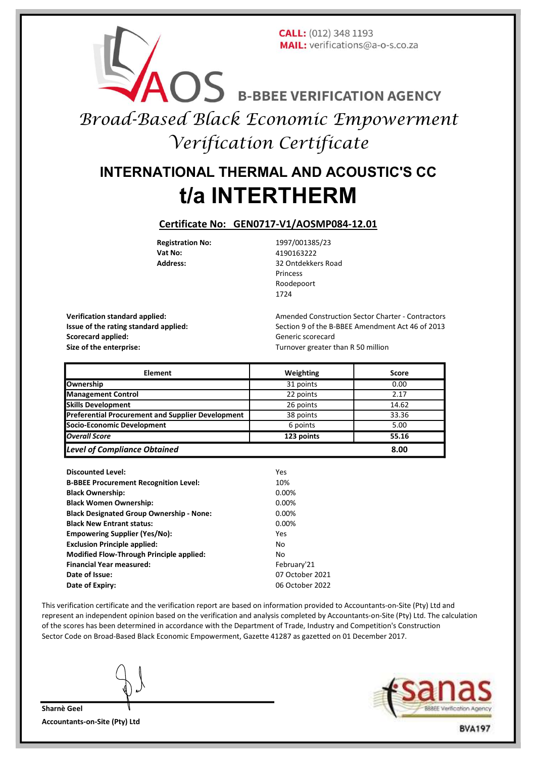### **CALL:** (012) 348 1193 MAIL: verifications@a-o-s.co.za

AOS B-BBEE VERIFICATION AGENCY

Broad-Based Black Economic Empowerment Verification Certificate

# t/a INTERTHERM INTERNATIONAL THERMAL AND ACOUSTIC'S CC

#### Certificate No: GEN0717-V1/AOSMP084-12.01

Registration No: 1997/001385/23 **Vat No:** 4190163222<br> **Address:** 32 Ontdekke 32 Ontdekkers Road Princess Roodepoort 1724

Scorecard applied: The Contract of Generic scorecard Size of the enterprise: Turnover greater than R 50 million

Verification standard applied: Amended Construction Sector Charter - Contractors Issue of the rating standard applied: Section 9 of the B-BBEE Amendment Act 46 of 2013

| <b>Element</b>                                           | Weighting  | Score |
|----------------------------------------------------------|------------|-------|
| Ownership                                                | 31 points  | 0.00  |
| <b>Management Control</b>                                | 22 points  | 2.17  |
| <b>Skills Development</b>                                | 26 points  | 14.62 |
| <b>Preferential Procurement and Supplier Development</b> | 38 points  | 33.36 |
| Socio-Economic Development                               | 6 points   | 5.00  |
| Overall Score                                            | 123 points | 55.16 |
| <b>Level of Compliance Obtained</b>                      |            | 8.00  |

| <b>Discounted Level:</b>                        | Yes             |
|-------------------------------------------------|-----------------|
| <b>B-BBEE Procurement Recognition Level:</b>    | 10%             |
| <b>Black Ownership:</b>                         | 0.00%           |
| <b>Black Women Ownership:</b>                   | $0.00\%$        |
| <b>Black Designated Group Ownership - None:</b> | $0.00\%$        |
| <b>Black New Entrant status:</b>                | 0.00%           |
| <b>Empowering Supplier (Yes/No):</b>            | Yes             |
| <b>Exclusion Principle applied:</b>             | No              |
| <b>Modified Flow-Through Principle applied:</b> | No              |
| <b>Financial Year measured:</b>                 | February'21     |
| Date of Issue:                                  | 07 October 2021 |
| Date of Expiry:                                 | 06 October 2022 |

This verification certificate and the verification report are based on information provided to Accountants-on-Site (Pty) Ltd and represent an independent opinion based on the verification and analysis completed by Accountants-on-Site (Pty) Ltd. The calculation of the scores has been determined in accordance with the Department of Trade, Industry and Competition's Construction Sector Code on Broad-Based Black Economic Empowerment, Gazette 41287 as gazetted on 01 December 2017.

Sharnè Geel Accountants-on-Site (Pty) Ltd



**BVA197**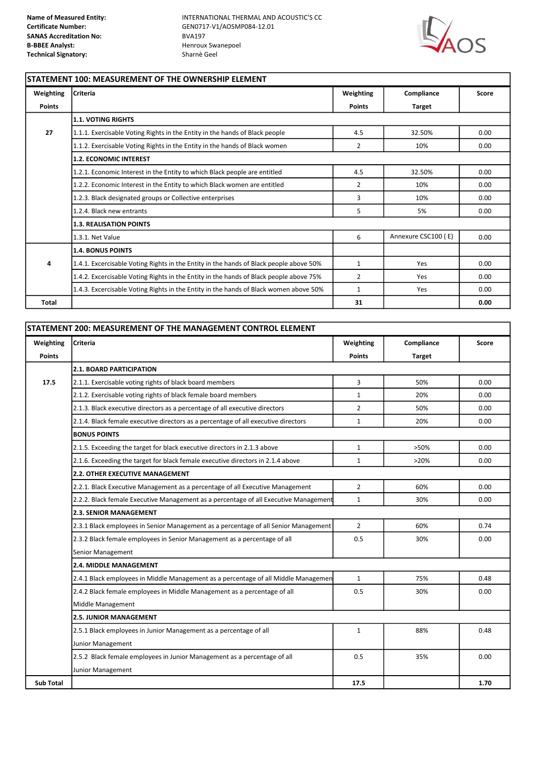

1

## STATEMENT 100: MEASUREMENT OF THE OWNERSHIP ELEMENT

| Weighting     | <b>Criteria</b>                                                                        | Weighting      | Compliance          | Score |  |
|---------------|----------------------------------------------------------------------------------------|----------------|---------------------|-------|--|
| <b>Points</b> |                                                                                        | <b>Points</b>  | <b>Target</b>       |       |  |
|               | 1.1. VOTING RIGHTS                                                                     |                |                     |       |  |
| 27            | 1.1.1. Exercisable Voting Rights in the Entity in the hands of Black people            | 4.5            | 32.50%              | 0.00  |  |
|               | 1.1.2. Exercisable Voting Rights in the Entity in the hands of Black women             | $\overline{2}$ | 10%                 | 0.00  |  |
|               | <b>1.2. ECONOMIC INTEREST</b>                                                          |                |                     |       |  |
|               | 1.2.1. Economic Interest in the Entity to which Black people are entitled              | 4.5            | 32.50%              | 0.00  |  |
|               | 1.2.2. Economic Interest in the Entity to which Black women are entitled               | 2              | 10%                 | 0.00  |  |
|               | 1.2.3. Black designated groups or Collective enterprises                               | 3              | 10%                 | 0.00  |  |
|               | 1.2.4. Black new entrants                                                              | 5              | 5%                  | 0.00  |  |
|               | <b>1.3. REALISATION POINTS</b>                                                         |                |                     |       |  |
|               | 1.3.1. Net Value                                                                       | 6              | Annexure CSC100 (E) | 0.00  |  |
|               | <b>1.4. BONUS POINTS</b>                                                               |                |                     |       |  |
| 4             | 1.4.1. Excercisable Voting Rights in the Entity in the hands of Black people above 50% | $\mathbf{1}$   | Yes                 | 0.00  |  |
|               | 1.4.2. Excercisable Voting Rights in the Entity in the hands of Black people above 75% | $\overline{2}$ | Yes                 | 0.00  |  |
|               | 1.4.3. Excercisable Voting Rights in the Entity in the hands of Black women above 50%  | $\mathbf{1}$   | Yes                 | 0.00  |  |
| Total         |                                                                                        | 31             |                     | 0.00  |  |

| STATEMENT 200: MEASUREMENT OF THE MANAGEMENT CONTROL ELEMENT |                                                                                      |                |               |              |  |
|--------------------------------------------------------------|--------------------------------------------------------------------------------------|----------------|---------------|--------------|--|
| Weighting                                                    | <b>Criteria</b>                                                                      | Weighting      | Compliance    | <b>Score</b> |  |
| <b>Points</b>                                                |                                                                                      | <b>Points</b>  | <b>Target</b> |              |  |
|                                                              | <b>2.1. BOARD PARTICIPATION</b>                                                      |                |               |              |  |
| 17.5                                                         | 2.1.1. Exercisable voting rights of black board members                              | 3              | 50%           | 0.00         |  |
|                                                              | 2.1.2. Exercisable voting rights of black female board members                       | $\mathbf{1}$   | 20%           | 0.00         |  |
|                                                              | 2.1.3. Black executive directors as a percentage of all executive directors          | $\overline{2}$ | 50%           | 0.00         |  |
|                                                              | 2.1.4. Black female executive directors as a percentage of all executive directors   | $\mathbf{1}$   | 20%           | 0.00         |  |
|                                                              | <b>BONUS POINTS</b>                                                                  |                |               |              |  |
|                                                              | 2.1.5. Exceeding the target for black executive directors in 2.1.3 above             | $\mathbf{1}$   | >50%          | 0.00         |  |
|                                                              | 2.1.6. Exceeding the target for black female executive directors in 2.1.4 above      | $\mathbf{1}$   | >20%          | 0.00         |  |
|                                                              | 2.2. OTHER EXECUTIVE MANAGEMENT                                                      |                |               |              |  |
|                                                              | 2.2.1. Black Executive Management as a percentage of all Executive Management        | $\overline{2}$ | 60%           | 0.00         |  |
|                                                              | 2.2.2. Black female Executive Management as a percentage of all Executive Management | $\mathbf{1}$   | 30%           | 0.00         |  |
|                                                              | <b>2.3. SENIOR MANAGEMENT</b>                                                        |                |               |              |  |
|                                                              | 2.3.1 Black employees in Senior Management as a percentage of all Senior Management  | $\overline{2}$ | 60%           | 0.74         |  |
|                                                              | 2.3.2 Black female employees in Senior Management as a percentage of all             | 0.5            | 30%           | 0.00         |  |
|                                                              | Senior Management                                                                    |                |               |              |  |
|                                                              | 2.4. MIDDLE MANAGEMENT                                                               |                |               |              |  |
|                                                              | 2.4.1 Black employees in Middle Management as a percentage of all Middle Managemen   | $\mathbf{1}$   | 75%           | 0.48         |  |
|                                                              | 2.4.2 Black female employees in Middle Management as a percentage of all             | 0.5            | 30%           | 0.00         |  |
|                                                              | Middle Management                                                                    |                |               |              |  |
|                                                              | <b>2.5. JUNIOR MANAGEMENT</b>                                                        |                |               |              |  |
|                                                              | 2.5.1 Black employees in Junior Management as a percentage of all                    | $\mathbf{1}$   | 88%           | 0.48         |  |
|                                                              | Junior Management                                                                    |                |               |              |  |
|                                                              | 2.5.2 Black female employees in Junior Management as a percentage of all             | 0.5            | 35%           | 0.00         |  |
|                                                              | Junior Management                                                                    |                |               |              |  |
| <b>Sub Total</b>                                             |                                                                                      | 17.5           |               | 1.70         |  |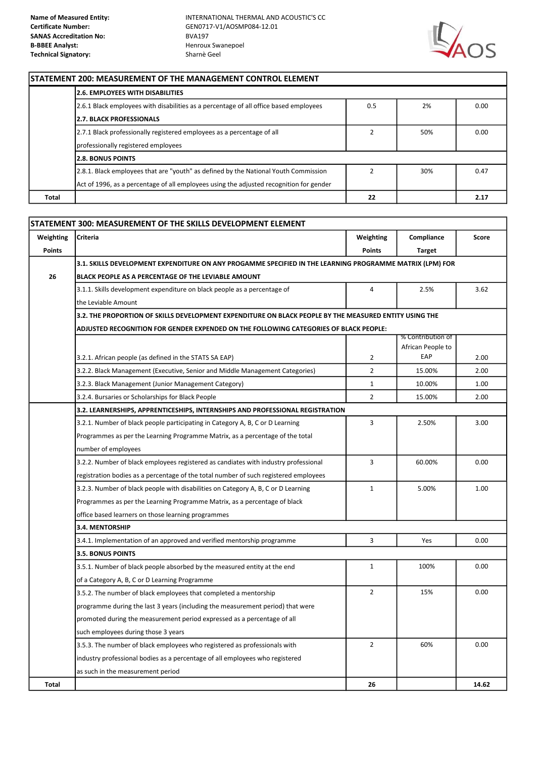

#### STATEMENT 200: MEASUREMENT OF THE MANAGEMENT CONTROL ELEMENT

|       | 2.6. EMPLOYEES WITH DISABILITIES                                                        |     |     |      |  |
|-------|-----------------------------------------------------------------------------------------|-----|-----|------|--|
|       | 2.6.1 Black employees with disabilities as a percentage of all office based employees   | 0.5 | 2%  | 0.00 |  |
|       | <b>2.7. BLACK PROFESSIONALS</b>                                                         |     |     |      |  |
|       | 2.7.1 Black professionally registered employees as a percentage of all                  |     | 50% | 0.00 |  |
|       | professionally registered employees                                                     |     |     |      |  |
|       | <b>12.8. BONUS POINTS</b>                                                               |     |     |      |  |
|       | 2.8.1. Black employees that are "youth" as defined by the National Youth Commission     |     | 30% | 0.47 |  |
|       | Act of 1996, as a percentage of all employees using the adjusted recognition for gender |     |     |      |  |
| Total |                                                                                         | 22  |     | 2.17 |  |

|               | STATEMENT 300: MEASUREMENT OF THE SKILLS DEVELOPMENT ELEMENT                                             |                |                                        |       |
|---------------|----------------------------------------------------------------------------------------------------------|----------------|----------------------------------------|-------|
| Weighting     | <b>Criteria</b>                                                                                          | Weighting      | Compliance                             | Score |
| <b>Points</b> |                                                                                                          | <b>Points</b>  | <b>Target</b>                          |       |
|               | 3.1. SKILLS DEVELOPMENT EXPENDITURE ON ANY PROGAMME SPECIFIED IN THE LEARNING PROGRAMME MATRIX (LPM) FOR |                |                                        |       |
| 26            | BLACK PEOPLE AS A PERCENTAGE OF THE LEVIABLE AMOUNT                                                      |                |                                        |       |
|               | 3.1.1. Skills development expenditure on black people as a percentage of                                 | $\overline{4}$ | 2.5%                                   | 3.62  |
|               | the Leviable Amount                                                                                      |                |                                        |       |
|               | 3.2. THE PROPORTION OF SKILLS DEVELOPMENT EXPENDITURE ON BLACK PEOPLE BY THE MEASURED ENTITY USING THE   |                |                                        |       |
|               | ADJUSTED RECOGNITION FOR GENDER EXPENDED ON THE FOLLOWING CATEGORIES OF BLACK PEOPLE:                    |                |                                        |       |
|               |                                                                                                          |                | % Contribution of<br>African People to |       |
|               | 3.2.1. African people (as defined in the STATS SA EAP)                                                   | $\overline{2}$ | EAP                                    | 2.00  |
|               | 3.2.2. Black Management (Executive, Senior and Middle Management Categories)                             | $\overline{2}$ | 15.00%                                 | 2.00  |
|               | 3.2.3. Black Management (Junior Management Category)                                                     | $\mathbf{1}$   | 10.00%                                 | 1.00  |
|               | 3.2.4. Bursaries or Scholarships for Black People                                                        | $\overline{2}$ | 15.00%                                 | 2.00  |
|               | 3.2. LEARNERSHIPS, APPRENTICESHIPS, INTERNSHIPS AND PROFESSIONAL REGISTRATION                            |                |                                        |       |
|               | 3.2.1. Number of black people participating in Category A, B, C or D Learning                            | 3              | 2.50%                                  | 3.00  |
|               | Programmes as per the Learning Programme Matrix, as a percentage of the total                            |                |                                        |       |
|               | number of employees                                                                                      |                |                                        |       |
|               | 3.2.2. Number of black employees registered as candiates with industry professional                      | $\overline{3}$ | 60.00%                                 | 0.00  |
|               | registration bodies as a percentage of the total number of such registered employees                     |                |                                        |       |
|               | 3.2.3. Number of black people with disabilities on Category A, B, C or D Learning                        | $\mathbf{1}$   | 5.00%                                  | 1.00  |
|               | Programmes as per the Learning Programme Matrix, as a percentage of black                                |                |                                        |       |
|               | office based learners on those learning programmes                                                       |                |                                        |       |
|               | 3.4. MENTORSHIP                                                                                          |                |                                        |       |
|               | 3.4.1. Implementation of an approved and verified mentorship programme                                   | $\overline{3}$ | Yes                                    | 0.00  |
|               | 3.5. BONUS POINTS                                                                                        |                |                                        |       |
|               | 3.5.1. Number of black people absorbed by the measured entity at the end                                 | $\mathbf{1}$   | 100%                                   | 0.00  |
|               | of a Category A, B, C or D Learning Programme                                                            |                |                                        |       |
|               | 3.5.2. The number of black employees that completed a mentorship                                         | $\overline{2}$ | 15%                                    | 0.00  |
|               | programme during the last 3 years (including the measurement period) that were                           |                |                                        |       |
|               | promoted during the measurement period expressed as a percentage of all                                  |                |                                        |       |
|               | such employees during those 3 years                                                                      |                |                                        |       |
|               | 3.5.3. The number of black employees who registered as professionals with                                | $\overline{2}$ | 60%                                    | 0.00  |
|               | industry professional bodies as a percentage of all employees who registered                             |                |                                        |       |
|               | as such in the measurement period                                                                        |                |                                        |       |
| Total         |                                                                                                          | 26             |                                        | 14.62 |